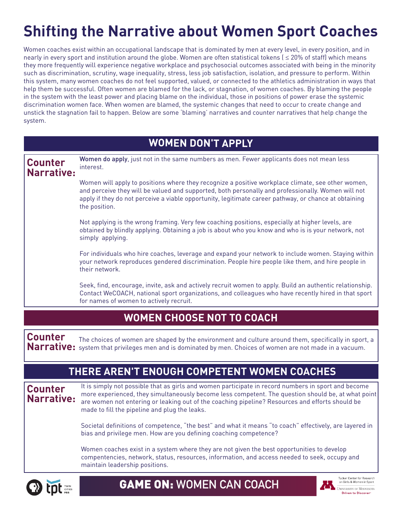# **Shifting the Narrative about Women Sport Coaches**

Women coaches exist within an occupational landscape that is dominated by men at every level, in every position, and in nearly in every sport and institution around the globe. Women are often statistical tokens ( ≤ 20% of staff) which means they more frequently will experience negative workplace and psychosocial outcomes associated with being in the minority such as discrimination, scrutiny, wage inequality, stress, less job satisfaction, isolation, and pressure to perform. Within this system, many women coaches do not feel supported, valued, or connected to the athletics administration in ways that help them be successful. Often women are blamed for the lack, or stagnation, of women coaches. By blaming the people in the system with the least power and placing blame on the individual, those in positions of power erase the systemic discrimination women face. When women are blamed, the systemic changes that need to occur to create change and unstick the stagnation fail to happen. Below are some 'blaming' narratives and counter narratives that help change the system.

|                              | <b>WOMEN DON'T APPLY</b>                                                                                                                                                                                                                                                                                                                                      |
|------------------------------|---------------------------------------------------------------------------------------------------------------------------------------------------------------------------------------------------------------------------------------------------------------------------------------------------------------------------------------------------------------|
| <b>Counter</b><br>Narrative: | Women do apply, just not in the same numbers as men. Fewer applicants does not mean less<br>interest.                                                                                                                                                                                                                                                         |
|                              | Women will apply to positions where they recognize a positive workplace climate, see other women,<br>and perceive they will be valued and supported, both personally and professionally. Women will not<br>apply if they do not perceive a viable opportunity, legitimate career pathway, or chance at obtaining<br>the position.                             |
|                              | Not applying is the wrong framing. Very few coaching positions, especially at higher levels, are<br>obtained by blindly applying. Obtaining a job is about who you know and who is is your network, not<br>simply applying.                                                                                                                                   |
|                              | For individuals who hire coaches, leverage and expand your network to include women. Staying within<br>your network reproduces gendered discrimination. People hire people like them, and hire people in<br>their network.                                                                                                                                    |
|                              | Seek, find, encourage, invite, ask and actively recruit women to apply. Build an authentic relationship.<br>Contact WeCOACH, national sport organizations, and colleagues who have recently hired in that sport<br>for names of women to actively recruit.                                                                                                    |
|                              | <b>WOMEN CHOOSE NOT TO COACH</b>                                                                                                                                                                                                                                                                                                                              |
| <b>Counter</b><br>Narrative: | The choices of women are shaped by the environment and culture around them, specifically in sport, a<br>system that privileges men and is dominated by men. Choices of women are not made in a vacuum.                                                                                                                                                        |
|                              | THERE AREN'T ENOUGH COMPETENT WOMEN COACHES                                                                                                                                                                                                                                                                                                                   |
| <b>Counter</b><br>Narrative: | It is simply not possible that as girls and women participate in record numbers in sport and become<br>more experienced, they simultaneously become less competent. The question should be, at what point<br>are women not entering or leaking out of the coaching pipeline? Resources and efforts should be<br>made to fill the pipeline and plug the leaks. |
|                              | Societal definitions of competence, "the best" and what it means "to coach" effectively, are layered in<br>bias and privilege men. How are you defining coaching competence?                                                                                                                                                                                  |
|                              | Women coaches exist in a system where they are not given the best opportunities to develop<br>compentencies, network, status, resources, information, and access needed to seek, occupy and<br>maintain leadership positions.                                                                                                                                 |



GAME ON: **WOMEN CAN COACH**